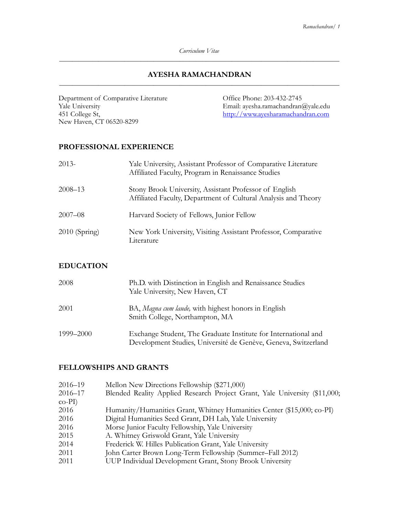*Curriculum Vitae \_\_\_\_\_\_\_\_\_\_\_\_\_\_\_\_\_\_\_\_\_\_\_\_\_\_\_\_\_\_\_\_\_\_\_\_\_\_\_\_\_\_\_\_\_\_\_\_\_\_\_\_\_\_\_\_\_\_\_\_\_\_\_\_\_\_\_\_\_\_\_\_\_\_\_\_\_\_\_\_\_\_\_\_\_\_* 

### **AYESHA RAMACHANDRAN**  \_\_\_\_\_\_\_\_\_\_\_\_\_\_\_\_\_\_\_\_\_\_\_\_\_\_\_\_\_\_\_\_\_\_\_\_\_\_\_\_\_\_\_\_\_\_\_\_\_\_\_\_\_\_\_\_\_\_\_\_\_\_\_\_\_\_\_\_\_\_\_\_\_\_\_\_\_\_\_\_\_\_\_\_\_\_

Department of Comparative Literature Office Phone: 203-432-2745 Yale University<br>
451 College St, Email: ayesha.ramachandran@yale.edu<br>
<u>http://www.ayesharamachandran.com</u> New Haven, CT 06520-8299

<http://www.ayesharamachandran.com>

## **PROFESSIONAL EXPERIENCE**

| $2013-$         | Yale University, Assistant Professor of Comparative Literature<br>Affiliated Faculty, Program in Renaissance Studies     |
|-----------------|--------------------------------------------------------------------------------------------------------------------------|
| $2008 - 13$     | Stony Brook University, Assistant Professor of English<br>Affiliated Faculty, Department of Cultural Analysis and Theory |
| $2007 - 08$     | Harvard Society of Fellows, Junior Fellow                                                                                |
| $2010$ (Spring) | New York University, Visiting Assistant Professor, Comparative<br>Literature                                             |

# **EDUCATION**

| 2008      | Ph.D. with Distinction in English and Renaissance Studies<br>Yale University, New Haven, CT                                      |
|-----------|----------------------------------------------------------------------------------------------------------------------------------|
| 2001      | BA, Magna cum laude, with highest honors in English<br>Smith College, Northampton, MA                                            |
| 1999–2000 | Exchange Student, The Graduate Institute for International and<br>Development Studies, Université de Genève, Geneva, Switzerland |

# **FELLOWSHIPS AND GRANTS**

| 2016–19   | Mellon New Directions Fellowship (\$271,000)                               |
|-----------|----------------------------------------------------------------------------|
| 2016-17   | Blended Reality Applied Research Project Grant, Yale University (\$11,000; |
| $co-PI$ ) |                                                                            |
| 2016      | Humanity/Humanities Grant, Whitney Humanities Center (\$15,000; co-PI)     |
| 2016      | Digital Humanities Seed Grant, DH Lab, Yale University                     |
| 2016      | Morse Junior Faculty Fellowship, Yale University                           |
| 2015      | A. Whitney Griswold Grant, Yale University                                 |
| 2014      | Frederick W. Hilles Publication Grant, Yale University                     |
| 2011      | John Carter Brown Long-Term Fellowship (Summer-Fall 2012)                  |
| 2011      | UUP Individual Development Grant, Stony Brook University                   |
|           |                                                                            |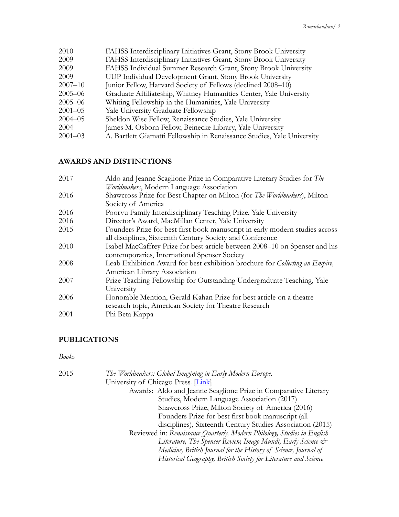| 2010        | FAHSS Interdisciplinary Initiatives Grant, Stony Brook University       |
|-------------|-------------------------------------------------------------------------|
| 2009        | FAHSS Interdisciplinary Initiatives Grant, Stony Brook University       |
| 2009        | FAHSS Individual Summer Research Grant, Stony Brook University          |
| 2009        | UUP Individual Development Grant, Stony Brook University                |
| $2007 - 10$ | Junior Fellow, Harvard Society of Fellows (declined 2008–10)            |
| $2005 - 06$ | Graduate Affiliateship, Whitney Humanities Center, Yale University      |
| $2005 - 06$ | Whiting Fellowship in the Humanities, Yale University                   |
| $2001 - 05$ | Yale University Graduate Fellowship                                     |
| $2004 - 05$ | Sheldon Wise Fellow, Renaissance Studies, Yale University               |
| 2004        | James M. Osborn Fellow, Beinecke Library, Yale University               |
| $2001 - 03$ | A. Bartlett Giamatti Fellowship in Renaissance Studies, Yale University |
|             |                                                                         |

# **AWARDS AND DISTINCTIONS**

| 2017 | Aldo and Jeanne Scaglione Prize in Comparative Literary Studies for The      |
|------|------------------------------------------------------------------------------|
|      | Worldmakers, Modern Language Association                                     |
| 2016 | Shawcross Prize for Best Chapter on Milton (for The Worldmakers), Milton     |
|      | Society of America                                                           |
| 2016 | Poorvu Family Interdisciplinary Teaching Prize, Yale University              |
| 2016 | Director's Award, MacMillan Center, Yale University                          |
| 2015 | Founders Prize for best first book manuscript in early modern studies across |
|      | all disciplines, Sixteenth Century Society and Conference                    |
| 2010 | Isabel MacCaffrey Prize for best article between 2008–10 on Spenser and his  |
|      | contemporaries, International Spenser Society                                |
| 2008 | Leab Exhibition Award for best exhibition brochure for Collecting an Empire, |
|      | American Library Association                                                 |
| 2007 | Prize Teaching Fellowship for Outstanding Undergraduate Teaching, Yale       |
|      | University                                                                   |
| 2006 | Honorable Mention, Gerald Kahan Prize for best article on a theatre          |
|      | research topic, American Society for Theatre Research                        |
| 2001 | Phi Beta Kappa                                                               |
|      |                                                                              |

# **PUBLICATIONS**

## *Books*

| 2015 | The Worldmakers: Global Imagining in Early Modern Europe.                  |
|------|----------------------------------------------------------------------------|
|      | University of Chicago Press. [Link]                                        |
|      | Awards: Aldo and Jeanne Scaglione Prize in Comparative Literary            |
|      | Studies, Modern Language Association (2017)                                |
|      | Shawcross Prize, Milton Society of America (2016)                          |
|      | Founders Prize for best first book manuscript (all                         |
|      | disciplines), Sixteenth Century Studies Association (2015)                 |
|      | Reviewed in: Renaissance Quarterly, Modern Philology, Studies in English   |
|      | Literature, The Spenser Review, Imago Mundi, Early Science $\mathcal{Q}^*$ |
|      | Medicine, British Journal for the History of Science, Journal of           |
|      | Historical Geography, British Society for Literature and Science           |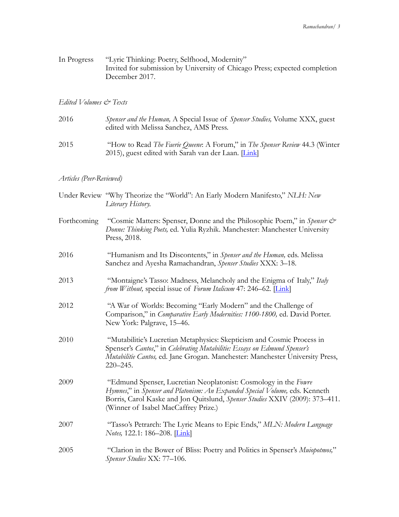| In Progress | "Lyric Thinking: Poetry, Selfhood, Modernity"                              |
|-------------|----------------------------------------------------------------------------|
|             | Invited for submission by University of Chicago Press; expected completion |
|             | December 2017.                                                             |

#### *Edited Volumes & Texts*

| 2016 | <i>Spenser and the Human, A Special Issue of Spenser Studies, Volume XXX, guest</i><br>edited with Melissa Sanchez, AMS Press.                     |
|------|----------------------------------------------------------------------------------------------------------------------------------------------------|
| 2015 | "How to Read The Faerie Queene: A Forum," in The Spenser Review 44.3 (Winter<br>2015), guest edited with Sarah van der Laan. $\boxed{\text{Link}}$ |

#### *Articles (Peer-Reviewed)*

- Under Review "Why Theorize the "World": An Early Modern Manifesto," *NLH: New Literary History.*
- Forthcoming "Cosmic Matters: Spenser, Donne and the Philosophic Poem," in *Spenser & Donne: Thinking Poets,* ed. Yulia Ryzhik. Manchester: Manchester University Press, 2018.
- 2016 "Humanism and Its Discontents," in *Spenser and the Human,* eds. Melissa Sanchez and Ayesha Ramachandran, *Spenser Studies* XXX: 3–18.
- 2013 "Montaigne's Tasso: Madness, Melancholy and the Enigma of Italy," *Italy from Without,* special issue of *Forum Italicum* 47: 246–62. [*Link*]
- 2012 "A War of Worlds: Becoming "Early Modern" and the Challenge of Comparison," in *Comparative Early Modernities: 1100-1800,* ed. David Porter. New York: Palgrave, 15–46.
- 2010 "Mutabilitie's Lucretian Metaphysics: Skepticism and Cosmic Process in Spenser's *Cantos*," in *Celebrating Mutabilitie: Essays on Edmund Spenser's Mutabilitie Cantos,* ed. Jane Grogan. Manchester: Manchester University Press, 220–245.
- 2009 "Edmund Spenser, Lucretian Neoplatonist: Cosmology in the *Fowre Hymnes*," in *Spenser and Platonism: An Expanded Special Volume,* eds. Kenneth Borris, Carol Kaske and Jon Quitslund, *Spenser Studies* XXIV (2009): 373–411. (Winner of Isabel MacCaffrey Prize.)
- 2007 "Tasso's Petrarch: The Lyric Means to Epic Ends," *MLN: Modern Language Notes,* 122.1: 186–208. [*Link*]
- 2005 "Clarion in the Bower of Bliss: Poetry and Politics in Spenser's *Muiopotmos,*" *Spenser Studies* XX: 77–106.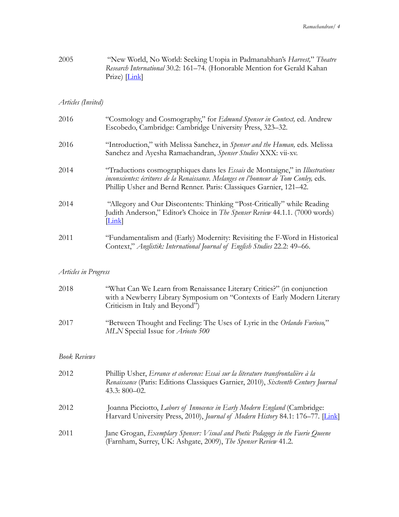| 2005 | "New World, No World: Seeking Utopia in Padmanabhan's Harvest," Theatre  |
|------|--------------------------------------------------------------------------|
|      | Research International 30.2: 161–74. (Honorable Mention for Gerald Kahan |
|      | $Prize)$ $\boxed{\text{Link}}$                                           |

# *Articles (Invited)*

| 2016 | "Cosmology and Cosmography," for Edmund Spenser in Context, ed. Andrew<br>Escobedo, Cambridge: Cambridge University Press, 323–32.                                                                                                                        |
|------|-----------------------------------------------------------------------------------------------------------------------------------------------------------------------------------------------------------------------------------------------------------|
| 2016 | "Introduction," with Melissa Sanchez, in Spenser and the Human, eds. Melissa<br>Sanchez and Ayesha Ramachandran, Spenser Studies XXX: vii-xv.                                                                                                             |
| 2014 | "Traductions cosmographiques dans les <i>Essais</i> de Montaigne," in <i>Illustrations</i><br>inconscientes: écritures de la Renaissance. Melanges en l'honneur de Tom Conley, eds.<br>Phillip Usher and Bernd Renner. Paris: Classiques Garnier, 121–42. |
| 2014 | "Allegory and Our Discontents: Thinking "Post-Critically" while Reading<br>Judith Anderson," Editor's Choice in The Spenser Review 44.1.1. (7000 words)<br>Link                                                                                           |
| 2011 | "Fundamentalism and (Early) Modernity: Revisiting the F-Word in Historical<br>Context," Anglistik: International Journal of English Studies 22.2: 49–66.                                                                                                  |

# *Articles in Progress*

| "What Can We Learn from Renaissance Literary Critics?" (in conjunction                                               |
|----------------------------------------------------------------------------------------------------------------------|
| with a Newberry Library Symposium on "Contexts of Early Modern Literary                                              |
| Criticism in Italy and Beyond")                                                                                      |
| "Between Thought and Feeling: The Uses of Lyric in the Orlando Furioso,"<br>MLN Special Issue for <i>Ariosto</i> 500 |
|                                                                                                                      |

## *Book Reviews*

| 2012 | Phillip Usher, Errance et coherence: Essai sur la literature transfrontalière à la<br>Renaissance (Paris: Editions Classiques Garnier, 2010), Sixteenth Century Journal<br>$43.3:800 - 02.$ |
|------|---------------------------------------------------------------------------------------------------------------------------------------------------------------------------------------------|
| 2012 | Joanna Picciotto, Labors of Innocence in Early Modern England (Cambridge:<br>Harvard University Press, 2010), Journal of Modern History 84.1: 176–77. [Link]                                |
| 2011 | Jane Grogan, Exemplary Spenser: Visual and Poetic Pedagogy in the Faerie Queene<br>(Farnham, Surrey, UK: Ashgate, 2009), The Spenser Review 41.2.                                           |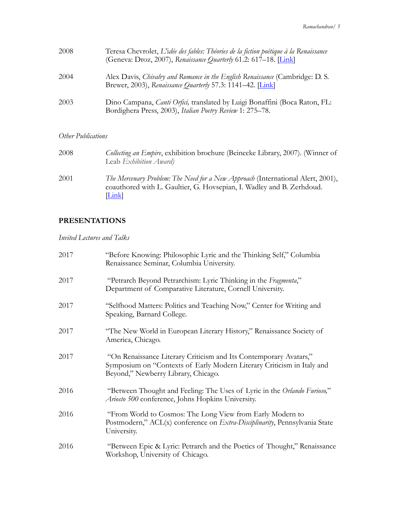| 2008 | Teresa Chevrolet, L'idée des fables: Théories de la fiction poétique à la Renaissance<br>(Geneva: Droz, 2007), Renaissance Quarterly 61.2: 617-18. [Link] |
|------|-----------------------------------------------------------------------------------------------------------------------------------------------------------|
| 2004 | Alex Davis, <i>Chivalry and Romance in the English Renaissance</i> (Cambridge: D. S.<br>Brewer, 2003), Renaissance Quarterly 57.3: 1141–42. [Link]        |
| 2003 | Dino Campana, <i>Canti Orfici</i> , translated by Luigi Bonaffini (Boca Raton, FL:<br>Bordighera Press, 2003), Italian Poetry Review 1: 275-78.           |

# *Other Publications*

| 2008 | <i>Collecting an Empire,</i> exhibition brochure (Beinecke Library, 2007). (Winner of<br>Leab Exhibition Award)                                                                   |
|------|-----------------------------------------------------------------------------------------------------------------------------------------------------------------------------------|
| 2001 | <i>The Mercenary Problem: The Need for a New Approach</i> (International Alert, 2001),<br>coauthored with L. Gaultier, G. Hovsepian, I. Wadley and B. Zerhdoud.<br>$\lfloor$ Link |

# **PRESENTATIONS**

*Invited Lectures and Talks* 

| 2017 | "Before Knowing: Philosophic Lyric and the Thinking Self," Columbia<br>Renaissance Seminar, Columbia University.                                                                   |
|------|------------------------------------------------------------------------------------------------------------------------------------------------------------------------------------|
| 2017 | "Petrarch Beyond Petrarchism: Lyric Thinking in the Fragmenta,"<br>Department of Comparative Literature, Cornell University.                                                       |
| 2017 | "Selfhood Matters: Politics and Teaching Now," Center for Writing and<br>Speaking, Barnard College.                                                                                |
| 2017 | "The New World in European Literary History," Renaissance Society of<br>America, Chicago.                                                                                          |
| 2017 | "On Renaissance Literary Criticism and Its Contemporary Avatars,"<br>Symposium on "Contexts of Early Modern Literary Criticism in Italy and<br>Beyond," Newberry Library, Chicago. |
| 2016 | "Between Thought and Feeling: The Uses of Lyric in the Orlando Furioso,"<br>Ariosto 500 conference, Johns Hopkins University.                                                      |
| 2016 | "From World to Cosmos: The Long View from Early Modern to<br>Postmodern," ACL(x) conference on Extra-Disciplinarity, Pennsylvania State<br>University.                             |
| 2016 | "Between Epic & Lyric: Petrarch and the Poetics of Thought," Renaissance<br>Workshop, University of Chicago.                                                                       |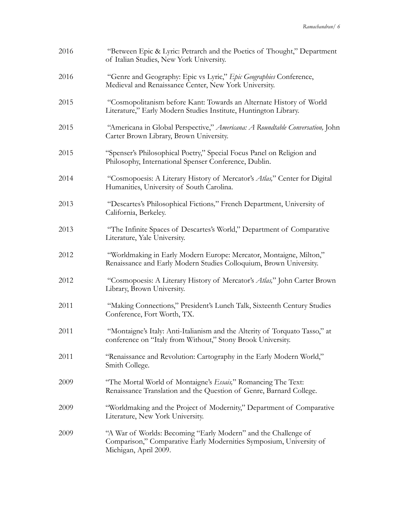| 2016 | "Between Epic & Lyric: Petrarch and the Poetics of Thought," Department<br>of Italian Studies, New York University.                                            |
|------|----------------------------------------------------------------------------------------------------------------------------------------------------------------|
| 2016 | "Genre and Geography: Epic vs Lyric," Epic Geographies Conference,<br>Medieval and Renaissance Center, New York University.                                    |
| 2015 | "Cosmopolitanism before Kant: Towards an Alternate History of World<br>Literature," Early Modern Studies Institute, Huntington Library.                        |
| 2015 | "Americana in Global Perspective," Americana: A Roundtable Conversation, John<br>Carter Brown Library, Brown University.                                       |
| 2015 | "Spenser's Philosophical Poetry," Special Focus Panel on Religion and<br>Philosophy, International Spenser Conference, Dublin.                                 |
| 2014 | "Cosmopoesis: A Literary History of Mercator's Atlas," Center for Digital<br>Humanities, University of South Carolina.                                         |
| 2013 | "Descartes's Philosophical Fictions," French Department, University of<br>California, Berkeley.                                                                |
| 2013 | "The Infinite Spaces of Descartes's World," Department of Comparative<br>Literature, Yale University.                                                          |
| 2012 | "Worldmaking in Early Modern Europe: Mercator, Montaigne, Milton,"<br>Renaissance and Early Modern Studies Colloquium, Brown University.                       |
| 2012 | "Cosmopoesis: A Literary History of Mercator's Atlas," John Carter Brown<br>Library, Brown University.                                                         |
| 2011 | "Making Connections," President's Lunch Talk, Sixteenth Century Studies<br>Conference, Fort Worth, TX.                                                         |
| 2011 | "Montaigne's Italy: Anti-Italianism and the Alterity of Torquato Tasso," at<br>conference on "Italy from Without," Stony Brook University.                     |
| 2011 | "Renaissance and Revolution: Cartography in the Early Modern World,"<br>Smith College.                                                                         |
| 2009 | "The Mortal World of Montaigne's Essais," Romancing The Text:<br>Renaissance Translation and the Question of Genre, Barnard College.                           |
| 2009 | "Worldmaking and the Project of Modernity," Department of Comparative<br>Literature, New York University.                                                      |
| 2009 | "A War of Worlds: Becoming "Early Modern" and the Challenge of<br>Comparison," Comparative Early Modernities Symposium, University of<br>Michigan, April 2009. |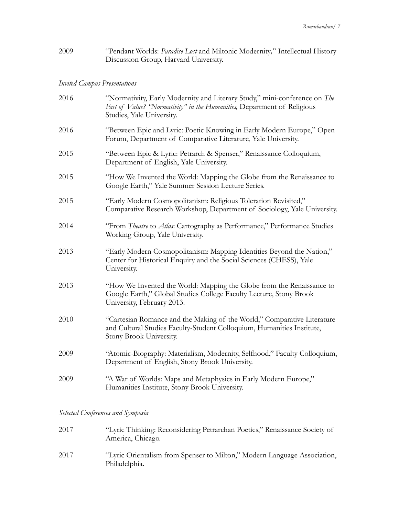2009 "Pendant Worlds: *Paradise Lost* and Miltonic Modernity*,*" Intellectual History Discussion Group, Harvard University.

# *Invited Campus Presentations*

| 2016 | "Normativity, Early Modernity and Literary Study," mini-conference on The<br>Fact of Value? "Normativity" in the Humanities, Department of Religious<br>Studies, Yale University. |
|------|-----------------------------------------------------------------------------------------------------------------------------------------------------------------------------------|
| 2016 | "Between Epic and Lyric: Poetic Knowing in Early Modern Europe," Open<br>Forum, Department of Comparative Literature, Yale University.                                            |
| 2015 | "Between Epic & Lyric: Petrarch & Spenser," Renaissance Colloquium,<br>Department of English, Yale University.                                                                    |
| 2015 | "How We Invented the World: Mapping the Globe from the Renaissance to<br>Google Earth," Yale Summer Session Lecture Series.                                                       |
| 2015 | "Early Modern Cosmopolitanism: Religious Toleration Revisited,"<br>Comparative Research Workshop, Department of Sociology, Yale University.                                       |
| 2014 | "From <i>Theatre</i> to <i>Atlas</i> : Cartography as Performance," Performance Studies<br>Working Group, Yale University.                                                        |
| 2013 | "Early Modern Cosmopolitanism: Mapping Identities Beyond the Nation,"<br>Center for Historical Enquiry and the Social Sciences (CHESS), Yale<br>University.                       |
| 2013 | "How We Invented the World: Mapping the Globe from the Renaissance to<br>Google Earth," Global Studies College Faculty Lecture, Stony Brook<br>University, February 2013.         |
| 2010 | "Cartesian Romance and the Making of the World," Comparative Literature<br>and Cultural Studies Faculty-Student Colloquium, Humanities Institute,<br>Stony Brook University.      |
| 2009 | "Atomic-Biography: Materialism, Modernity, Selfhood," Faculty Colloquium,<br>Department of English, Stony Brook University.                                                       |
| 2009 | "A War of Worlds: Maps and Metaphysics in Early Modern Europe,"<br>Humanities Institute, Stony Brook University.                                                                  |

*Selected Conferences and Symposia* 

| 2017 | "Lyric Thinking: Reconsidering Petrarchan Poetics," Renaissance Society of<br>America, Chicago. |
|------|-------------------------------------------------------------------------------------------------|
| 2017 | "Lyric Orientalism from Spenser to Milton," Modern Language Association,<br>Philadelphia.       |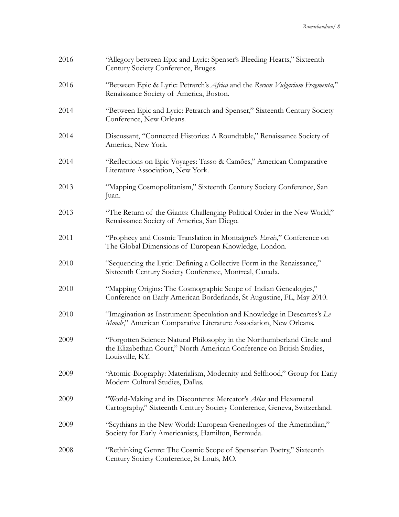| 2016 | "Allegory between Epic and Lyric: Spenser's Bleeding Hearts," Sixteenth<br>Century Society Conference, Bruges.                                                      |
|------|---------------------------------------------------------------------------------------------------------------------------------------------------------------------|
| 2016 | "Between Epic & Lyric: Petrarch's Africa and the Rerum Vulgarium Fragmenta,"<br>Renaissance Society of America, Boston.                                             |
| 2014 | "Between Epic and Lyric: Petrarch and Spenser," Sixteenth Century Society<br>Conference, New Orleans.                                                               |
| 2014 | Discussant, "Connected Histories: A Roundtable," Renaissance Society of<br>America, New York.                                                                       |
| 2014 | "Reflections on Epic Voyages: Tasso & Camões," American Comparative<br>Literature Association, New York.                                                            |
| 2013 | "Mapping Cosmopolitanism," Sixteenth Century Society Conference, San<br>Juan.                                                                                       |
| 2013 | "The Return of the Giants: Challenging Political Order in the New World,"<br>Renaissance Society of America, San Diego.                                             |
| 2011 | "Prophecy and Cosmic Translation in Montaigne's Essais," Conference on<br>The Global Dimensions of European Knowledge, London.                                      |
| 2010 | "Sequencing the Lyric: Defining a Collective Form in the Renaissance,"<br>Sixteenth Century Society Conference, Montreal, Canada.                                   |
| 2010 | "Mapping Origins: The Cosmographic Scope of Indian Genealogies,"<br>Conference on Early American Borderlands, St Augustine, FL, May 2010.                           |
| 2010 | "Imagination as Instrument: Speculation and Knowledge in Descartes's Le<br>Monde," American Comparative Literature Association, New Orleans.                        |
| 2009 | "Forgotten Science: Natural Philosophy in the Northumberland Circle and<br>the Elizabethan Court," North American Conference on British Studies,<br>Louisville, KY. |
| 2009 | "Atomic-Biography: Materialism, Modernity and Selfhood," Group for Early<br>Modern Cultural Studies, Dallas.                                                        |
| 2009 | "World-Making and its Discontents: Mercator's Atlas and Hexameral<br>Cartography," Sixteenth Century Society Conference, Geneva, Switzerland.                       |
| 2009 | "Scythians in the New World: European Genealogies of the Amerindian,"<br>Society for Early Americanists, Hamilton, Bermuda.                                         |
| 2008 | "Rethinking Genre: The Cosmic Scope of Spenserian Poetry," Sixteenth<br>Century Society Conference, St Louis, MO.                                                   |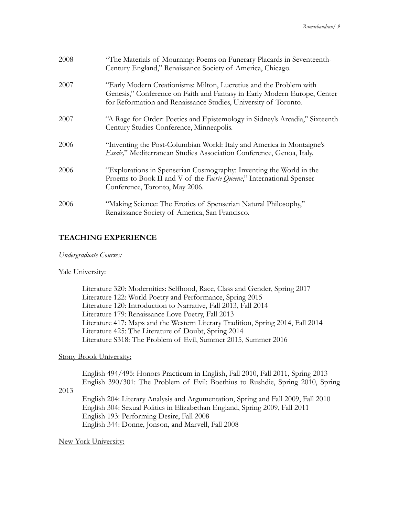| 2008 | "The Materials of Mourning: Poems on Funerary Placards in Seventeenth-<br>Century England," Renaissance Society of America, Chicago.                                                                              |
|------|-------------------------------------------------------------------------------------------------------------------------------------------------------------------------------------------------------------------|
| 2007 | "Early Modern Creationisms: Milton, Lucretius and the Problem with<br>Genesis," Conference on Faith and Fantasy in Early Modern Europe, Center<br>for Reformation and Renaissance Studies, University of Toronto. |
| 2007 | "A Rage for Order: Poetics and Epistemology in Sidney's Arcadia," Sixteenth<br>Century Studies Conference, Minneapolis.                                                                                           |
| 2006 | "Inventing the Post-Columbian World: Italy and America in Montaigne's<br>Essais," Mediterranean Studies Association Conference, Genoa, Italy.                                                                     |
| 2006 | "Explorations in Spenserian Cosmography: Inventing the World in the<br>Proems to Book II and V of the Faerie Queene," International Spenser<br>Conference, Toronto, May 2006.                                     |
| 2006 | "Making Science: The Erotics of Spenserian Natural Philosophy,"<br>Renaissance Society of America, San Francisco.                                                                                                 |

# **TEACHING EXPERIENCE**

#### *Undergraduate Courses:*

### Yale University:

 Literature 320: Modernities: Selfhood, Race, Class and Gender, Spring 2017 Literature 122: World Poetry and Performance, Spring 2015 Literature 120: Introduction to Narrative, Fall 2013, Fall 2014 Literature 179: Renaissance Love Poetry, Fall 2013 Literature 417: Maps and the Western Literary Tradition, Spring 2014, Fall 2014 Literature 425: The Literature of Doubt, Spring 2014 Literature S318: The Problem of Evil, Summer 2015, Summer 2016

### Stony Brook University:

English 494/495: Honors Practicum in English, Fall 2010, Fall 2011, Spring 2013 English 390/301: The Problem of Evil: Boethius to Rushdie, Spring 2010, Spring

### 2013

English 204: Literary Analysis and Argumentation, Spring and Fall 2009, Fall 2010 English 304: Sexual Politics in Elizabethan England, Spring 2009, Fall 2011 English 193: Performing Desire, Fall 2008 English 344: Donne, Jonson, and Marvell, Fall 2008

### New York University: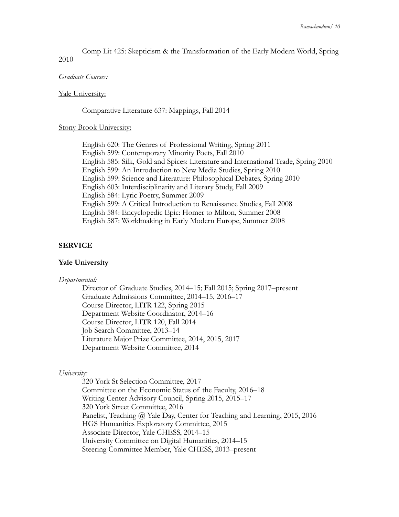Comp Lit 425: Skepticism & the Transformation of the Early Modern World, Spring 2010

#### *Graduate Courses:*

#### Yale University:

Comparative Literature 637: Mappings, Fall 2014

#### Stony Brook University:

English 620: The Genres of Professional Writing, Spring 2011 English 599: Contemporary Minority Poets, Fall 2010 English 585: Silk, Gold and Spices: Literature and International Trade, Spring 2010 English 599: An Introduction to New Media Studies, Spring 2010 English 599: Science and Literature: Philosophical Debates, Spring 2010 English 603: Interdisciplinarity and Literary Study, Fall 2009 English 584: Lyric Poetry, Summer 2009 English 599: A Critical Introduction to Renaissance Studies, Fall 2008 English 584: Encyclopedic Epic: Homer to Milton, Summer 2008 English 587: Worldmaking in Early Modern Europe, Summer 2008

#### **SERVICE**

#### **Yale University**

#### *Departmental:*

Director of Graduate Studies, 2014–15; Fall 2015; Spring 2017–present Graduate Admissions Committee, 2014–15, 2016–17 Course Director, LITR 122, Spring 2015 Department Website Coordinator, 2014–16 Course Director, LITR 120, Fall 2014 Job Search Committee, 2013–14 Literature Major Prize Committee, 2014, 2015, 2017 Department Website Committee, 2014

#### *University:*

320 York St Selection Committee, 2017 Committee on the Economic Status of the Faculty, 2016–18 Writing Center Advisory Council, Spring 2015, 2015–17 320 York Street Committee, 2016 Panelist, Teaching @ Yale Day, Center for Teaching and Learning, 2015, 2016 HGS Humanities Exploratory Committee, 2015 Associate Director, Yale CHESS, 2014–15 University Committee on Digital Humanities, 2014–15 Steering Committee Member, Yale CHESS, 2013–present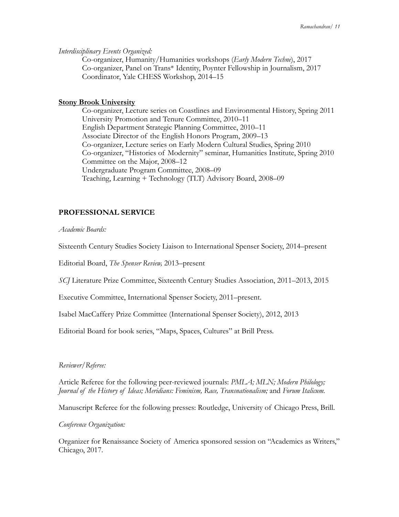#### *Interdisciplinary Events Organized:*

Co-organizer, Humanity/Humanities workshops (*Early Modern Techne*), 2017 Co-organizer, Panel on Trans\* Identity, Poynter Fellowship in Journalism, 2017 Coordinator, Yale CHESS Workshop, 2014–15

#### **Stony Brook University**

Co-organizer, Lecture series on Coastlines and Environmental History, Spring 2011 University Promotion and Tenure Committee, 2010–11 English Department Strategic Planning Committee, 2010–11 Associate Director of the English Honors Program, 2009–13 Co-organizer, Lecture series on Early Modern Cultural Studies, Spring 2010 Co-organizer, "Histories of Modernity" seminar, Humanities Institute, Spring 2010 Committee on the Major, 2008–12 Undergraduate Program Committee, 2008–09 Teaching, Learning + Technology (TLT) Advisory Board, 2008–09

# **PROFESSIONAL SERVICE**

*Academic Boards:* 

Sixteenth Century Studies Society Liaison to International Spenser Society, 2014–present

Editorial Board, *The Spenser Review,* 2013–present

*SCJ* Literature Prize Committee, Sixteenth Century Studies Association, 2011–2013, 2015

Executive Committee, International Spenser Society, 2011–present.

Isabel MacCaffery Prize Committee (International Spenser Society), 2012, 2013

Editorial Board for book series, "Maps, Spaces, Cultures" at Brill Press.

### *Reviewer/Referee:*

Article Referee for the following peer-reviewed journals: *PMLA; MLN; Modern Philology; Journal of the History of Ideas; Meridians: Feminism, Race, Transnationalism;* and *Forum Italicum.* 

Manuscript Referee for the following presses: Routledge, University of Chicago Press, Brill.

*Conference Organization:* 

Organizer for Renaissance Society of America sponsored session on "Academics as Writers," Chicago, 2017.